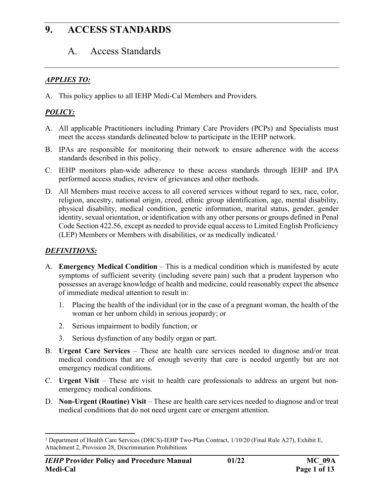## A. Access Standards

#### *APPLIES TO:*

A. This policy applies to all IEHP Medi-Cal Members and Providers*.*

#### *POLICY:*

- A. All applicable Practitioners including Primary Care Providers (PCPs) and Specialists must meet the access standards delineated below to participate in the IEHP network.
- B. IPAs are responsible for monitoring their network to ensure adherence with the access standards described in this policy.
- C. IEHP monitors plan-wide adherence to these access standards through IEHP and IPA performed access studies, review of grievances and other methods.
- D. All Members must receive access to all covered services without regard to sex, race, color, religion, ancestry, national origin, creed, ethnic group identification, age, mental disability, physical disability, medical condition, genetic information, marital status, gender, gender identity, sexual orientation, or identification with any other persons or groups defined in Penal Code Section 422.56, except as needed to provide equal access to Limited English Proficiency (LEP) Members or Members with disabilities, or as medically indicated.<sup>1</sup>

#### *DEFINITIONS:*

- A. **Emergency Medical Condition** This is a medical condition which is manifested by acute symptoms of sufficient severity (including severe pain) such that a prudent layperson who possesses an average knowledge of health and medicine, could reasonably expect the absence of immediate medical attention to result in:
	- 1. Placing the health of the individual (or in the case of a pregnant woman, the health of the woman or her unborn child) in serious jeopardy; or
	- 2. Serious impairment to bodily function; or
	- 3. Serious dysfunction of any bodily organ or part.
- B. **Urgent Care Services** These are health care services needed to diagnose and/or treat medical conditions that are of enough severity that care is needed urgently but are not emergency medical conditions.
- C. **Urgent Visit** These are visit to health care professionals to address an urgent but nonemergency medical conditions.
- D. **Non-Urgent (Routine) Visit** These are health care services needed to diagnose and/or treat medical conditions that do not need urgent care or emergent attention.

<sup>&</sup>lt;sup>1</sup> Department of Health Care Services (DHCS)-IEHP Two-Plan Contract, 1/10/20 (Final Rule A27), Exhibit E, Attachment 2, Provision 28, Discrimination Prohibitions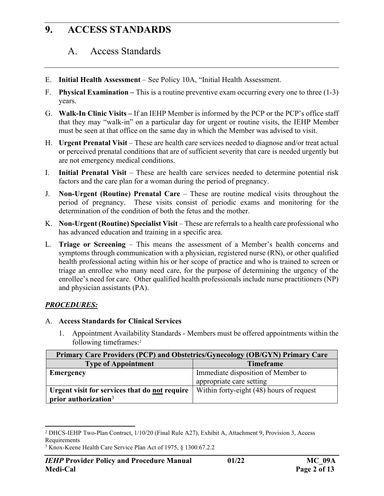## A. Access Standards

- E. **Initial Health Assessment** See Policy 10A, "Initial Health Assessment.
- F. **Physical Examination** This is a routine preventive exam occurring every one to three (1-3) years.
- G. **Walk-In Clinic Visits** If an IEHP Member is informed by the PCP or the PCP's office staff that they may "walk-in" on a particular day for urgent or routine visits, the IEHP Member must be seen at that office on the same day in which the Member was advised to visit.
- H. **Urgent Prenatal Visit** These are health care services needed to diagnose and/or treat actual or perceived prenatal conditions that are of sufficient severity that care is needed urgently but are not emergency medical conditions.
- I. **Initial Prenatal Visit** These are health care services needed to determine potential risk factors and the care plan for a woman during the period of pregnancy.
- J. **Non-Urgent (Routine) Prenatal Care** These are routine medical visits throughout the period of pregnancy. These visits consist of periodic exams and monitoring for the determination of the condition of both the fetus and the mother.
- K. **Non-Urgent (Routine) Specialist Visit** These are referrals to a health care professional who has advanced education and training in a specific area.
- L. **Triage or Screening**  This means the assessment of a Member's health concerns and symptoms through communication with a physician, registered nurse (RN), or other qualified health professional acting within his or her scope of practice and who is trained to screen or triage an enrollee who many need care, for the purpose of determining the urgency of the enrollee's need for care. Other qualified health professionals include nurse practitioners (NP) and physician assistants (PA).

#### *PROCEDURES:*

- A. **Access Standards for Clinical Services**
	- 1. Appointment Availability Standards Members must be offered appointments within the following timeframes:<sup>2</sup>

| Primary Care Providers (PCP) and Obstetrics/Gynecology (OB/GYN) Primary Care |                                                                |  |
|------------------------------------------------------------------------------|----------------------------------------------------------------|--|
| <b>Type of Appointment</b>                                                   | <b>Timeframe</b>                                               |  |
| <b>Emergency</b>                                                             | Immediate disposition of Member to<br>appropriate care setting |  |
| Urgent visit for services that do not require<br>prior authorization $3$     | Within forty-eight (48) hours of request                       |  |

<sup>2</sup> DHCS-IEHP Two-Plan Contract, 1/10/20 (Final Rule A27), Exhibit A, Attachment 9, Provision 3, Access Requirements

<sup>3</sup> Knox-Keene Health Care Service Plan Act of 1975, § 1300.67.2.2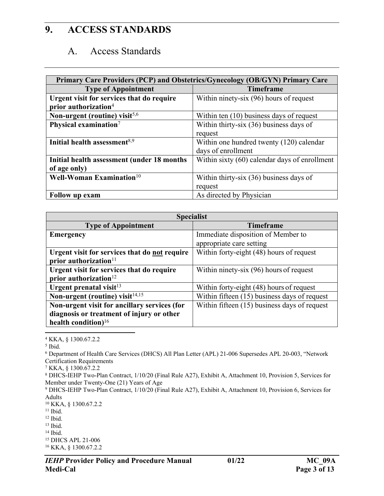#### A. Access Standards

| Primary Care Providers (PCP) and Obstetrics/Gynecology (OB/GYN) Primary Care |                                               |  |  |
|------------------------------------------------------------------------------|-----------------------------------------------|--|--|
| <b>Type of Appointment</b>                                                   | <b>Timeframe</b>                              |  |  |
| Urgent visit for services that do require                                    | Within ninety-six (96) hours of request       |  |  |
| prior authorization <sup>4</sup>                                             |                                               |  |  |
| Non-urgent (routine) visit $5,6$                                             | Within ten $(10)$ business days of request    |  |  |
| Physical examination $7$                                                     | Within thirty-six $(36)$ business days of     |  |  |
|                                                                              | request                                       |  |  |
| Initial health assessment <sup>8,9</sup>                                     | Within one hundred twenty (120) calendar      |  |  |
|                                                                              | days of enrollment                            |  |  |
| Initial health assessment (under 18 months                                   | Within sixty (60) calendar days of enrollment |  |  |
| of age only)                                                                 |                                               |  |  |
| Well-Woman Examination <sup>10</sup>                                         | Within thirty-six $(36)$ business days of     |  |  |
|                                                                              | request                                       |  |  |
| Follow up exam                                                               | As directed by Physician                      |  |  |

| <b>Specialist</b>                             |                                              |  |  |
|-----------------------------------------------|----------------------------------------------|--|--|
| <b>Type of Appointment</b>                    | <b>Timeframe</b>                             |  |  |
| <b>Emergency</b>                              | Immediate disposition of Member to           |  |  |
|                                               | appropriate care setting                     |  |  |
| Urgent visit for services that do not require | Within forty-eight (48) hours of request     |  |  |
| prior authorization $11$                      |                                              |  |  |
| Urgent visit for services that do require     | Within ninety-six (96) hours of request      |  |  |
| prior authorization $12$                      |                                              |  |  |
| Urgent prenatal visit <sup>13</sup>           | Within forty-eight (48) hours of request     |  |  |
| Non-urgent (routine) visit <sup>14,15</sup>   | Within fifteen (15) business days of request |  |  |
| Non-urgent visit for ancillary services (for  | Within fifteen (15) business days of request |  |  |
| diagnosis or treatment of injury or other     |                                              |  |  |
| health condition) $16$                        |                                              |  |  |

<sup>4</sup> KKA, § 1300.67.2.2

6 Department of Health Care Services (DHCS) All Plan Letter (APL) 21-006 Supersedes APL 20-003, "Network Certification Requirements

7 KKA, § 1300.67.2.2

<sup>5</sup> Ibid.

<sup>8</sup> DHCS-IEHP Two-Plan Contract, 1/10/20 (Final Rule A27), Exhibit A, Attachment 10, Provision 5, Services for Member under Twenty-One (21) Years of Age

<sup>9</sup> DHCS-IEHP Two-Plan Contract, 1/10/20 (Final Rule A27), Exhibit A, Attachment 10, Provision 6, Services for Adults

<sup>10</sup> KKA, § 1300.67.2.2

 $11$  Ibid.

 $12$  Ibid.

<sup>13</sup> Ibid.

<sup>14</sup> Ibid.

<sup>15</sup> DHCS APL 21-006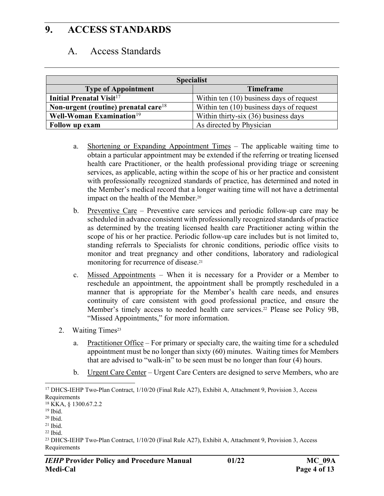#### A. Access Standards

| <b>Specialist</b>                          |                                          |  |  |
|--------------------------------------------|------------------------------------------|--|--|
| <b>Type of Appointment</b>                 | <b>Timeframe</b>                         |  |  |
| <b>Initial Prenatal Visit<sup>17</sup></b> | Within ten (10) business days of request |  |  |
| Non-urgent (routine) prenatal care $18$    | Within ten (10) business days of request |  |  |
| Well-Woman Examination <sup>19</sup>       | Within thirty-six (36) business days     |  |  |
| Follow up exam                             | As directed by Physician                 |  |  |

- a. Shortening or Expanding Appointment Times The applicable waiting time to obtain a particular appointment may be extended if the referring or treating licensed health care Practitioner, or the health professional providing triage or screening services, as applicable, acting within the scope of his or her practice and consistent with professionally recognized standards of practice, has determined and noted in the Member's medical record that a longer waiting time will not have a detrimental impact on the health of the Member.<sup>20</sup>
- b. Preventive Care Preventive care services and periodic follow-up care may be scheduled in advance consistent with professionally recognized standards of practice as determined by the treating licensed health care Practitioner acting within the scope of his or her practice. Periodic follow-up care includes but is not limited to, standing referrals to Specialists for chronic conditions, periodic office visits to monitor and treat pregnancy and other conditions, laboratory and radiological monitoring for recurrence of disease.<sup>21</sup>
- c. Missed Appointments When it is necessary for a Provider or a Member to reschedule an appointment, the appointment shall be promptly rescheduled in a manner that is appropriate for the Member's health care needs, and ensures continuity of care consistent with good professional practice, and ensure the Member's timely access to needed health care services.<sup>22</sup> Please see Policy 9B, "Missed Appointments," for more information.
- 2. Waiting Times<sup>23</sup>
	- a. Practitioner Office For primary or specialty care, the waiting time for a scheduled appointment must be no longer than sixty (60) minutes. Waiting times for Members that are advised to "walk-in" to be seen must be no longer than four (4) hours.
	- b. Urgent Care Center Urgent Care Centers are designed to serve Members, who are

<sup>17</sup> DHCS-IEHP Two-Plan Contract, 1/10/20 (Final Rule A27), Exhibit A, Attachment 9, Provision 3, Access Requirements

<sup>18</sup> KKA, § 1300.67.2.2

 $19$  Ibid.

 $20$  Ibid.

 $21$  Ibid.

<sup>22</sup> Ibid.

<sup>23</sup> DHCS-IEHP Two-Plan Contract, 1/10/20 (Final Rule A27), Exhibit A, Attachment 9, Provision 3, Access Requirements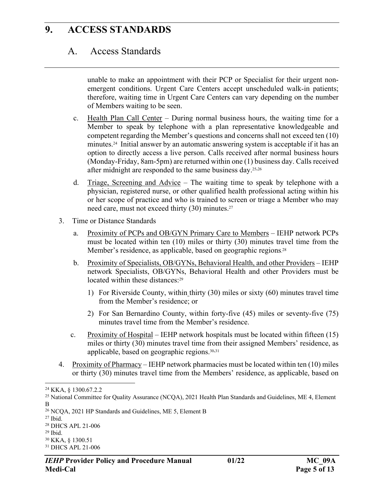### A. Access Standards

unable to make an appointment with their PCP or Specialist for their urgent nonemergent conditions. Urgent Care Centers accept unscheduled walk-in patients; therefore, waiting time in Urgent Care Centers can vary depending on the number of Members waiting to be seen.

- c. Health Plan Call Center During normal business hours, the waiting time for a Member to speak by telephone with a plan representative knowledgeable and competent regarding the Member's questions and concerns shall not exceed ten (10) minutes.24 Initial answer by an automatic answering system is acceptable if it has an option to directly access a live person. Calls received after normal business hours (Monday-Friday, 8am-5pm) are returned within one (1) business day. Calls received after midnight are responded to the same business day.25,<sup>26</sup>
- d. Triage, Screening and Advice The waiting time to speak by telephone with a physician, registered nurse, or other qualified health professional acting within his or her scope of practice and who is trained to screen or triage a Member who may need care, must not exceed thirty (30) minutes.<sup>27</sup>
- 3. Time or Distance Standards
	- a. Proximity of PCPs and OB/GYN Primary Care to Members IEHP network PCPs must be located within ten (10) miles or thirty (30) minutes travel time from the Member's residence, as applicable, based on geographic regions. 28
	- b. Proximity of Specialists, OB/GYNs, Behavioral Health, and other Providers IEHP network Specialists, OB/GYNs, Behavioral Health and other Providers must be located within these distances:<sup>29</sup>
		- 1) For Riverside County, within thirty (30) miles or sixty (60) minutes travel time from the Member's residence; or
		- 2) For San Bernardino County, within forty-five (45) miles or seventy-five (75) minutes travel time from the Member's residence.
	- c. Proximity of Hospital IEHP network hospitals must be located within fifteen (15) miles or thirty (30) minutes travel time from their assigned Members' residence, as applicable, based on geographic regions.30,<sup>31</sup>
- 4. Proximity of Pharmacy IEHP network pharmacies must be located within ten (10) miles or thirty (30) minutes travel time from the Members' residence, as applicable, based on

 $27$  Ibid.

<sup>30</sup> KKA, § 1300.51

<sup>24</sup> KKA, § 1300.67.2.2

<sup>25</sup> National Committee for Quality Assurance (NCQA), 2021 Health Plan Standards and Guidelines, ME 4, Element B

<sup>26</sup> NCQA, 2021 HP Standards and Guidelines, ME 5, Element B

<sup>28</sup> DHCS APL 21-006

<sup>29</sup> Ibid.

<sup>31</sup> DHCS APL 21-006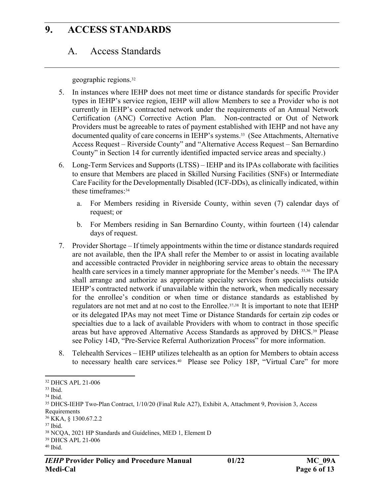## A. Access Standards

geographic regions.<sup>32</sup>

- 5. In instances where IEHP does not meet time or distance standards for specific Provider types in IEHP's service region, IEHP will allow Members to see a Provider who is not currently in IEHP's contracted network under the requirements of an Annual Network Certification (ANC) Corrective Action Plan. Non-contracted or Out of Network Providers must be agreeable to rates of payment established with IEHP and not have any documented quality of care concerns in IEHP's systems.<sup>33</sup> (See Attachments, Alternative Access Request – Riverside County" and "Alternative Access Request – San Bernardino County" in Section 14 for currently identified impacted service areas and specialty.)
- 6. Long-Term Services and Supports (LTSS) IEHP and its IPAs collaborate with facilities to ensure that Members are placed in Skilled Nursing Facilities (SNFs) or Intermediate Care Facility for the Developmentally Disabled (ICF-DDs), as clinically indicated, within these timeframes:<sup>34</sup>
	- a. For Members residing in Riverside County, within seven (7) calendar days of request; or
	- b. For Members residing in San Bernardino County, within fourteen (14) calendar days of request.
- 7. Provider Shortage If timely appointments within the time or distance standards required are not available, then the IPA shall refer the Member to or assist in locating available and accessible contracted Provider in neighboring service areas to obtain the necessary health care services in a timely manner appropriate for the Member's needs. 35,36 The IPA shall arrange and authorize as appropriate specialty services from specialists outside IEHP's contracted network if unavailable within the network, when medically necessary for the enrollee's condition or when time or distance standards as established by regulators are not met and at no cost to the Enrollee.37,38 It is important to note that IEHP or its delegated IPAs may not meet Time or Distance Standards for certain zip codes or specialties due to a lack of available Providers with whom to contract in those specific areas but have approved Alternative Access Standards as approved by DHCS.39 Please see Policy 14D, "Pre-Service Referral Authorization Process" for more information.
- 8. Telehealth Services IEHP utilizes telehealth as an option for Members to obtain access to necessary health care services.40 Please see Policy 18P, "Virtual Care" for more

<sup>32</sup> DHCS APL 21-006

<sup>33</sup> Ibid.

<sup>34</sup> Ibid.

<sup>35</sup> DHCS-IEHP Two-Plan Contract, 1/10/20 (Final Rule A27), Exhibit A, Attachment 9, Provision 3, Access Requirements

<sup>36</sup> KKA, § 1300.67.2.2

<sup>37</sup> Ibid.

<sup>38</sup> NCQA, 2021 HP Standards and Guidelines, MED 1, Element D

<sup>39</sup> DHCS APL 21-006

<sup>40</sup> Ibid.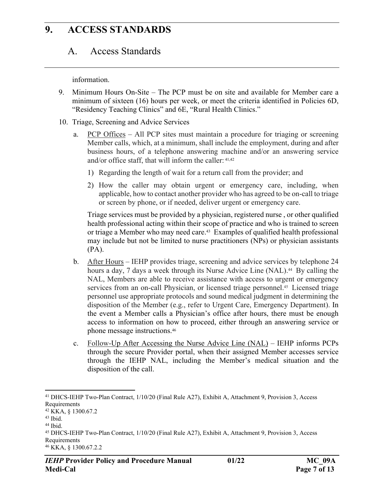### A. Access Standards

information.

- 9. Minimum Hours On-Site The PCP must be on site and available for Member care a minimum of sixteen (16) hours per week, or meet the criteria identified in Policies 6D, "Residency Teaching Clinics" and 6E, "Rural Health Clinics."
- 10. Triage, Screening and Advice Services
	- a. PCP Offices All PCP sites must maintain a procedure for triaging or screening Member calls, which, at a minimum, shall include the employment, during and after business hours, of a telephone answering machine and/or an answering service and/or office staff, that will inform the caller: 41,42
		- 1) Regarding the length of wait for a return call from the provider; and
		- 2) How the caller may obtain urgent or emergency care, including, when applicable, how to contact another provider who has agreed to be on-call to triage or screen by phone, or if needed, deliver urgent or emergency care.

Triage services must be provided by a physician, registered nurse , or other qualified health professional acting within their scope of practice and who is trained to screen or triage a Member who may need care.43 Examples of qualified health professional may include but not be limited to nurse practitioners (NPs) or physician assistants (PA).

- b. After Hours IEHP provides triage, screening and advice services by telephone 24 hours a day, 7 days a week through its Nurse Advice Line (NAL).<sup>44</sup> By calling the NAL, Members are able to receive assistance with access to urgent or emergency services from an on-call Physician, or licensed triage personnel.<sup>45</sup> Licensed triage personnel use appropriate protocols and sound medical judgment in determining the disposition of the Member (e.g., refer to Urgent Care, Emergency Department). In the event a Member calls a Physician's office after hours, there must be enough access to information on how to proceed, either through an answering service or phone message instructions.<sup>46</sup>
- c. Follow-Up After Accessing the Nurse Advice Line (NAL) IEHP informs PCPs through the secure Provider portal, when their assigned Member accesses service through the IEHP NAL, including the Member's medical situation and the disposition of the call.

<sup>41</sup> DHCS-IEHP Two-Plan Contract, 1/10/20 (Final Rule A27), Exhibit A, Attachment 9, Provision 3, Access Requirements

<sup>42</sup> KKA, § 1300.67.2

 $43$  Ibid.

<sup>44</sup> Ibid.

<sup>45</sup> DHCS-IEHP Two-Plan Contract, 1/10/20 (Final Rule A27), Exhibit A, Attachment 9, Provision 3, Access Requirements

<sup>46</sup> KKA, § 1300.67.2.2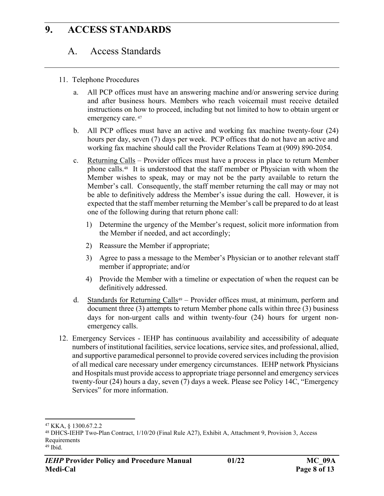## A. Access Standards

- 11. Telephone Procedures
	- a. All PCP offices must have an answering machine and/or answering service during and after business hours. Members who reach voicemail must receive detailed instructions on how to proceed, including but not limited to how to obtain urgent or emergency care. 47
	- b. All PCP offices must have an active and working fax machine twenty-four (24) hours per day, seven (7) days per week. PCP offices that do not have an active and working fax machine should call the Provider Relations Team at (909) 890-2054.
	- c. Returning Calls Provider offices must have a process in place to return Member phone calls.48 It is understood that the staff member or Physician with whom the Member wishes to speak, may or may not be the party available to return the Member's call. Consequently, the staff member returning the call may or may not be able to definitively address the Member's issue during the call. However, it is expected that the staff member returning the Member's call be prepared to do at least one of the following during that return phone call:
		- 1) Determine the urgency of the Member's request, solicit more information from the Member if needed, and act accordingly;
		- 2) Reassure the Member if appropriate;
		- 3) Agree to pass a message to the Member's Physician or to another relevant staff member if appropriate; and/or
		- 4) Provide the Member with a timeline or expectation of when the request can be definitively addressed.
	- d. Standards for Returning Calls49 Provider offices must, at minimum, perform and document three (3) attempts to return Member phone calls within three (3) business days for non-urgent calls and within twenty-four (24) hours for urgent nonemergency calls.
- 12. Emergency Services IEHP has continuous availability and accessibility of adequate numbers of institutional facilities, service locations, service sites, and professional, allied, and supportive paramedical personnel to provide covered services including the provision of all medical care necessary under emergency circumstances. IEHP network Physicians and Hospitals must provide access to appropriate triage personnel and emergency services twenty-four (24) hours a day, seven (7) days a week. Please see Policy 14C, "Emergency Services" for more information.

<sup>47</sup> KKA, § 1300.67.2.2

<sup>48</sup> DHCS-IEHP Two-Plan Contract, 1/10/20 (Final Rule A27), Exhibit A, Attachment 9, Provision 3, Access Requirements

<sup>49</sup> Ibid.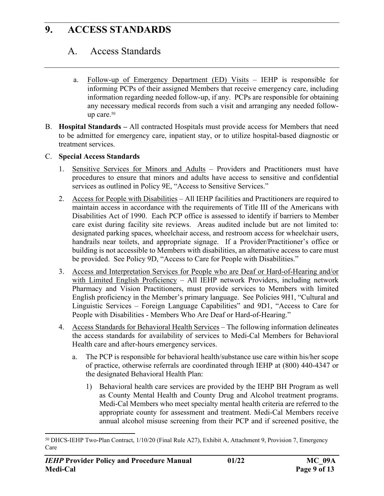## A. Access Standards

- a. Follow-up of Emergency Department (ED) Visits IEHP is responsible for informing PCPs of their assigned Members that receive emergency care, including information regarding needed follow-up, if any. PCPs are responsible for obtaining any necessary medical records from such a visit and arranging any needed followup care.<sup>50</sup>
- B. **Hospital Standards** All contracted Hospitals must provide access for Members that need to be admitted for emergency care, inpatient stay, or to utilize hospital-based diagnostic or treatment services.

#### C. **Special Access Standards**

- 1. Sensitive Services for Minors and Adults Providers and Practitioners must have procedures to ensure that minors and adults have access to sensitive and confidential services as outlined in Policy 9E, "Access to Sensitive Services."
- 2. Access for People with Disabilities All IEHP facilities and Practitioners are required to maintain access in accordance with the requirements of Title III of the Americans with Disabilities Act of 1990. Each PCP office is assessed to identify if barriers to Member care exist during facility site reviews. Areas audited include but are not limited to: designated parking spaces, wheelchair access, and restroom access for wheelchair users, handrails near toilets, and appropriate signage. If a Provider/Practitioner's office or building is not accessible to Members with disabilities, an alternative access to care must be provided. See Policy 9D, "Access to Care for People with Disabilities."
- 3. Access and Interpretation Services for People who are Deaf or Hard-of-Hearing and/or with Limited English Proficiency - All IEHP network Providers, including network Pharmacy and Vision Practitioners, must provide services to Members with limited English proficiency in the Member's primary language. See Policies 9H1, "Cultural and Linguistic Services – Foreign Language Capabilities" and 9D1, "Access to Care for People with Disabilities - Members Who Are Deaf or Hard-of-Hearing."
- 4. Access Standards for Behavioral Health Services The following information delineates the access standards for availability of services to Medi-Cal Members for Behavioral Health care and after-hours emergency services.
	- a. The PCP is responsible for behavioral health/substance use care within his/her scope of practice, otherwise referrals are coordinated through IEHP at (800) 440-4347 or the designated Behavioral Health Plan:
		- 1) Behavioral health care services are provided by the IEHP BH Program as well as County Mental Health and County Drug and Alcohol treatment programs. Medi-Cal Members who meet specialty mental health criteria are referred to the appropriate county for assessment and treatment. Medi-Cal Members receive annual alcohol misuse screening from their PCP and if screened positive, the

<sup>50</sup> DHCS-IEHP Two-Plan Contract, 1/10/20 (Final Rule A27), Exhibit A, Attachment 9, Provision 7, Emergency Care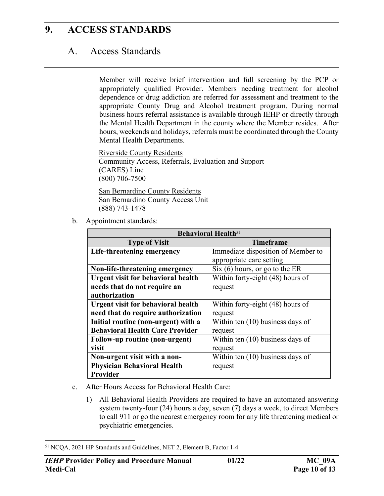# A. Access Standards

Member will receive brief intervention and full screening by the PCP or appropriately qualified Provider. Members needing treatment for alcohol dependence or drug addiction are referred for assessment and treatment to the appropriate County Drug and Alcohol treatment program. During normal business hours referral assistance is available through IEHP or directly through the Mental Health Department in the county where the Member resides. After hours, weekends and holidays, referrals must be coordinated through the County Mental Health Departments.

Riverside County Residents Community Access, Referrals, Evaluation and Support (CARES) Line (800) 706-7500

San Bernardino County Residents San Bernardino County Access Unit (888) 743-1478

b. Appointment standards:

| <b>Behavioral Health</b> <sup>51</sup>    |                                    |  |  |
|-------------------------------------------|------------------------------------|--|--|
| <b>Type of Visit</b>                      | <b>Timeframe</b>                   |  |  |
| Life-threatening emergency                | Immediate disposition of Member to |  |  |
|                                           | appropriate care setting           |  |  |
| Non-life-threatening emergency            | Six (6) hours, or go to the ER     |  |  |
| <b>Urgent visit for behavioral health</b> | Within forty-eight (48) hours of   |  |  |
| needs that do not require an              | request                            |  |  |
| authorization                             |                                    |  |  |
| <b>Urgent visit for behavioral health</b> | Within forty-eight (48) hours of   |  |  |
| need that do require authorization        | request                            |  |  |
| Initial routine (non-urgent) with a       | Within ten $(10)$ business days of |  |  |
| <b>Behavioral Health Care Provider</b>    | request                            |  |  |
| Follow-up routine (non-urgent)            | Within ten (10) business days of   |  |  |
| visit                                     | request                            |  |  |
| Non-urgent visit with a non-              | Within ten (10) business days of   |  |  |
| <b>Physician Behavioral Health</b>        | request                            |  |  |
| Provider                                  |                                    |  |  |

- c. After Hours Access for Behavioral Health Care:
	- 1) All Behavioral Health Providers are required to have an automated answering system twenty-four (24) hours a day, seven (7) days a week, to direct Members to call 911 or go the nearest emergency room for any life threatening medical or psychiatric emergencies.

<sup>51</sup> NCQA, 2021 HP Standards and Guidelines, NET 2, Element B, Factor 1-4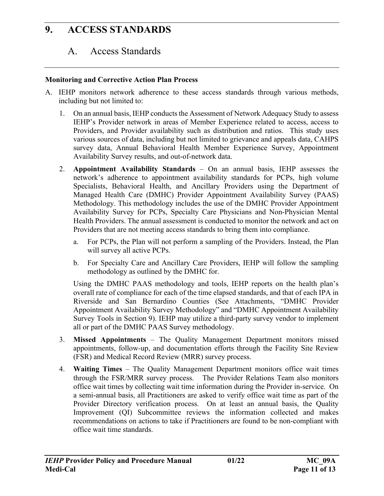## A. Access Standards

#### **Monitoring and Corrective Action Plan Process**

- A. IEHP monitors network adherence to these access standards through various methods, including but not limited to:
	- 1. On an annual basis, IEHP conducts the Assessment of Network Adequacy Study to assess IEHP's Provider network in areas of Member Experience related to access, access to Providers, and Provider availability such as distribution and ratios. This study uses various sources of data, including but not limited to grievance and appeals data, CAHPS survey data, Annual Behavioral Health Member Experience Survey, Appointment Availability Survey results, and out-of-network data.
	- 2. **Appointment Availability Standards**  On an annual basis, IEHP assesses the network's adherence to appointment availability standards for PCPs, high volume Specialists, Behavioral Health, and Ancillary Providers using the Department of Managed Health Care (DMHC) Provider Appointment Availability Survey (PAAS) Methodology. This methodology includes the use of the DMHC Provider Appointment Availability Survey for PCPs, Specialty Care Physicians and Non-Physician Mental Health Providers. The annual assessment is conducted to monitor the network and act on Providers that are not meeting access standards to bring them into compliance.
		- a. For PCPs, the Plan will not perform a sampling of the Providers. Instead, the Plan will survey all active PCPs.
		- b. For Specialty Care and Ancillary Care Providers, IEHP will follow the sampling methodology as outlined by the DMHC for.

Using the DMHC PAAS methodology and tools, IEHP reports on the health plan's overall rate of compliance for each of the time elapsed standards, and that of each IPA in Riverside and San Bernardino Counties (See Attachments, "DMHC Provider Appointment Availability Survey Methodology" and "DMHC Appointment Availability Survey Tools in Section 9). IEHP may utilize a third-party survey vendor to implement all or part of the DMHC PAAS Survey methodology.

- 3. **Missed Appointments** The Quality Management Department monitors missed appointments, follow-up, and documentation efforts through the Facility Site Review (FSR) and Medical Record Review (MRR) survey process.
- 4. **Waiting Times** The Quality Management Department monitors office wait times through the FSR/MRR survey process. The Provider Relations Team also monitors office wait times by collecting wait time information during the Provider in-service. On a semi-annual basis, all Practitioners are asked to verify office wait time as part of the Provider Directory verification process. On at least an annual basis, the Quality Improvement (QI) Subcommittee reviews the information collected and makes recommendations on actions to take if Practitioners are found to be non-compliant with office wait time standards.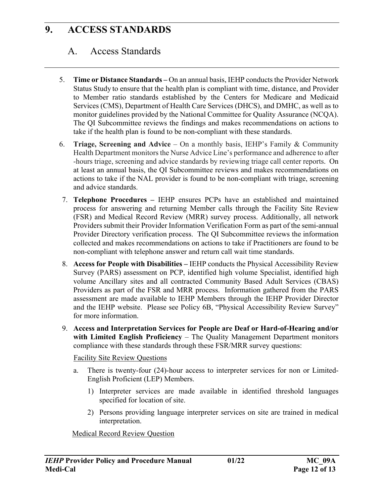## A. Access Standards

- 5. **Time or Distance Standards** On an annual basis, IEHP conducts the Provider Network Status Study to ensure that the health plan is compliant with time, distance, and Provider to Member ratio standards established by the Centers for Medicare and Medicaid Services (CMS), Department of Health Care Services (DHCS), and DMHC, as well as to monitor guidelines provided by the National Committee for Quality Assurance (NCQA). The QI Subcommittee reviews the findings and makes recommendations on actions to take if the health plan is found to be non-compliant with these standards.
- 6. **Triage, Screening and Advice**  On a monthly basis, IEHP's Family & Community Health Department monitors the Nurse Advice Line's performance and adherence to after -hours triage, screening and advice standards by reviewing triage call center reports. On at least an annual basis, the QI Subcommittee reviews and makes recommendations on actions to take if the NAL provider is found to be non-compliant with triage, screening and advice standards.
- 7. **Telephone Procedures** IEHP ensures PCPs have an established and maintained process for answering and returning Member calls through the Facility Site Review (FSR) and Medical Record Review (MRR) survey process. Additionally, all network Providers submit their Provider Information Verification Form as part of the semi-annual Provider Directory verification process. The QI Subcommittee reviews the information collected and makes recommendations on actions to take if Practitioners are found to be non-compliant with telephone answer and return call wait time standards.
- 8. **Access for People with Disabilities** IEHP conducts the Physical Accessibility Review Survey (PARS) assessment on PCP, identified high volume Specialist, identified high volume Ancillary sites and all contracted Community Based Adult Services (CBAS) Providers as part of the FSR and MRR process. Information gathered from the PARS assessment are made available to IEHP Members through the IEHP Provider Director and the IEHP website. Please see Policy 6B, "Physical Accessibility Review Survey" for more information.
- 9. **Access and Interpretation Services for People are Deaf or Hard-of-Hearing and/or with Limited English Proficiency** – The Quality Management Department monitors compliance with these standards through these FSR/MRR survey questions:

#### Facility Site Review Questions

- a. There is twenty-four (24)-hour access to interpreter services for non or Limited-English Proficient (LEP) Members.
	- 1) Interpreter services are made available in identified threshold languages specified for location of site.
	- 2) Persons providing language interpreter services on site are trained in medical interpretation.

Medical Record Review Question